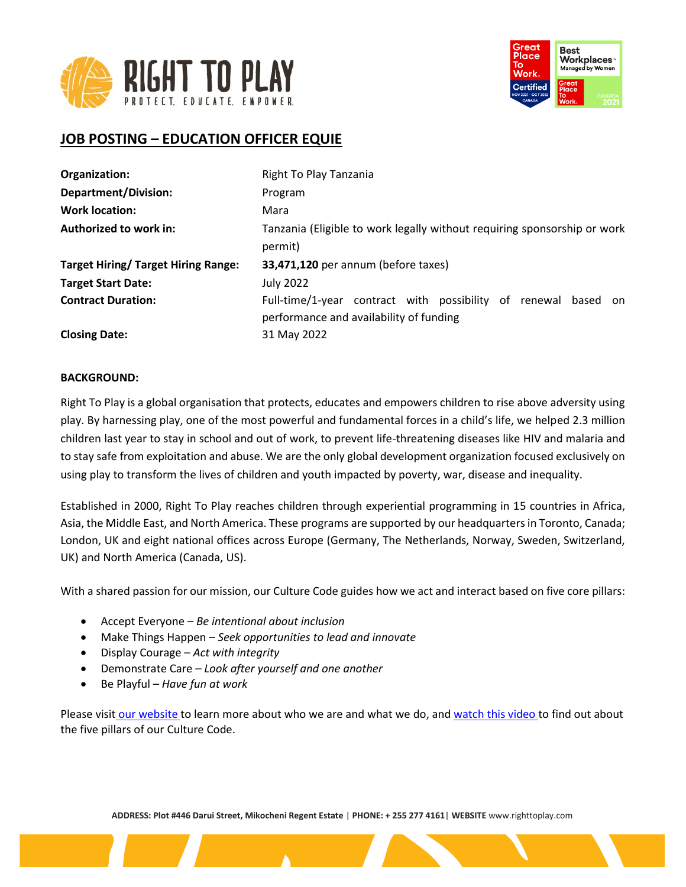



# **JOB POSTING – EDUCATION OFFICER EQUIE**

| Organization:                              | Right To Play Tanzania                                                                                    |
|--------------------------------------------|-----------------------------------------------------------------------------------------------------------|
| <b>Department/Division:</b>                | Program                                                                                                   |
| <b>Work location:</b>                      | Mara                                                                                                      |
| Authorized to work in:                     | Tanzania (Eligible to work legally without requiring sponsorship or work<br>permit)                       |
| <b>Target Hiring/ Target Hiring Range:</b> | 33,471,120 per annum (before taxes)                                                                       |
| <b>Target Start Date:</b>                  | <b>July 2022</b>                                                                                          |
| <b>Contract Duration:</b>                  | Full-time/1-year contract with possibility of renewal based on<br>performance and availability of funding |
| <b>Closing Date:</b>                       | 31 May 2022                                                                                               |

#### **BACKGROUND:**

Right To Play is a global organisation that protects, educates and empowers children to rise above adversity using play. By harnessing play, one of the most powerful and fundamental forces in a child's life, we helped 2.3 million children last year to stay in school and out of work, to prevent life-threatening diseases like HIV and malaria and to stay safe from exploitation and abuse. We are the only global development organization focused exclusively on using play to transform the lives of children and youth impacted by poverty, war, disease and inequality.

Established in 2000, Right To Play reaches children through experiential programming in 15 countries in Africa, Asia, the Middle East, and North America. These programs are supported by our headquarters in Toronto, Canada; London, UK and eight national offices across Europe (Germany, The Netherlands, Norway, Sweden, Switzerland, UK) and North America (Canada, US).

With a shared passion for our mission, our Culture Code guides how we act and interact based on five core pillars:

- Accept Everyone *Be intentional about inclusion*
- Make Things Happen *Seek opportunities to lead and innovate*
- Display Courage *Act with integrity*
- Demonstrate Care *Look after yourself and one another*
- Be Playful *Have fun at work*

Please visit [our website](http://www.righttoplay.ca/) to learn more about who we are and what we do, and [watch this video](https://www.righttoplay.com/en/landing/our-culture-code/) to find out about the five pillars of our Culture Code.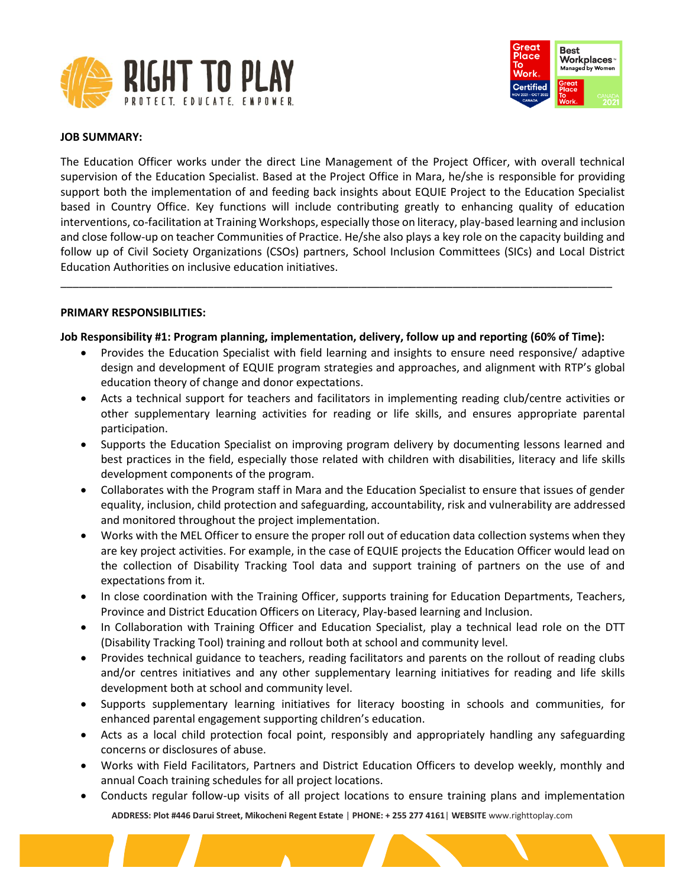



#### **JOB SUMMARY:**

The Education Officer works under the direct Line Management of the Project Officer, with overall technical supervision of the Education Specialist. Based at the Project Office in Mara, he/she is responsible for providing support both the implementation of and feeding back insights about EQUIE Project to the Education Specialist based in Country Office. Key functions will include contributing greatly to enhancing quality of education interventions, co-facilitation at Training Workshops, especially those on literacy, play-based learning and inclusion and close follow-up on teacher Communities of Practice. He/she also plays a key role on the capacity building and follow up of Civil Society Organizations (CSOs) partners, School Inclusion Committees (SICs) and Local District Education Authorities on inclusive education initiatives.

#### **PRIMARY RESPONSIBILITIES:**

#### **Job Responsibility #1: Program planning, implementation, delivery, follow up and reporting (60% of Time):**

\_\_\_\_\_\_\_\_\_\_\_\_\_\_\_\_\_\_\_\_\_\_\_\_\_\_\_\_\_\_\_\_\_\_\_\_\_\_\_\_\_\_\_\_\_\_\_\_\_\_\_\_\_\_\_\_\_\_\_\_\_\_\_\_\_\_\_\_\_\_\_\_\_\_\_\_\_\_\_\_\_\_\_\_\_\_\_\_\_\_

- Provides the Education Specialist with field learning and insights to ensure need responsive/ adaptive design and development of EQUIE program strategies and approaches, and alignment with RTP's global education theory of change and donor expectations.
- Acts a technical support for teachers and facilitators in implementing reading club/centre activities or other supplementary learning activities for reading or life skills, and ensures appropriate parental participation.
- Supports the Education Specialist on improving program delivery by documenting lessons learned and best practices in the field, especially those related with children with disabilities, literacy and life skills development components of the program.
- Collaborates with the Program staff in Mara and the Education Specialist to ensure that issues of gender equality, inclusion, child protection and safeguarding, accountability, risk and vulnerability are addressed and monitored throughout the project implementation.
- Works with the MEL Officer to ensure the proper roll out of education data collection systems when they are key project activities. For example, in the case of EQUIE projects the Education Officer would lead on the collection of Disability Tracking Tool data and support training of partners on the use of and expectations from it.
- In close coordination with the Training Officer, supports training for Education Departments, Teachers, Province and District Education Officers on Literacy, Play-based learning and Inclusion.
- In Collaboration with Training Officer and Education Specialist, play a technical lead role on the DTT (Disability Tracking Tool) training and rollout both at school and community level.
- Provides technical guidance to teachers, reading facilitators and parents on the rollout of reading clubs and/or centres initiatives and any other supplementary learning initiatives for reading and life skills development both at school and community level.
- Supports supplementary learning initiatives for literacy boosting in schools and communities, for enhanced parental engagement supporting children's education.
- Acts as a local child protection focal point, responsibly and appropriately handling any safeguarding concerns or disclosures of abuse.
- Works with Field Facilitators, Partners and District Education Officers to develop weekly, monthly and annual Coach training schedules for all project locations.
- **ADDRESS: Plot #446 Darui Street, Mikocheni Regent Estate** | **PHONE: + 255 277 4161**| **WEBSITE** www.righttoplay.com • Conducts regular follow-up visits of all project locations to ensure training plans and implementation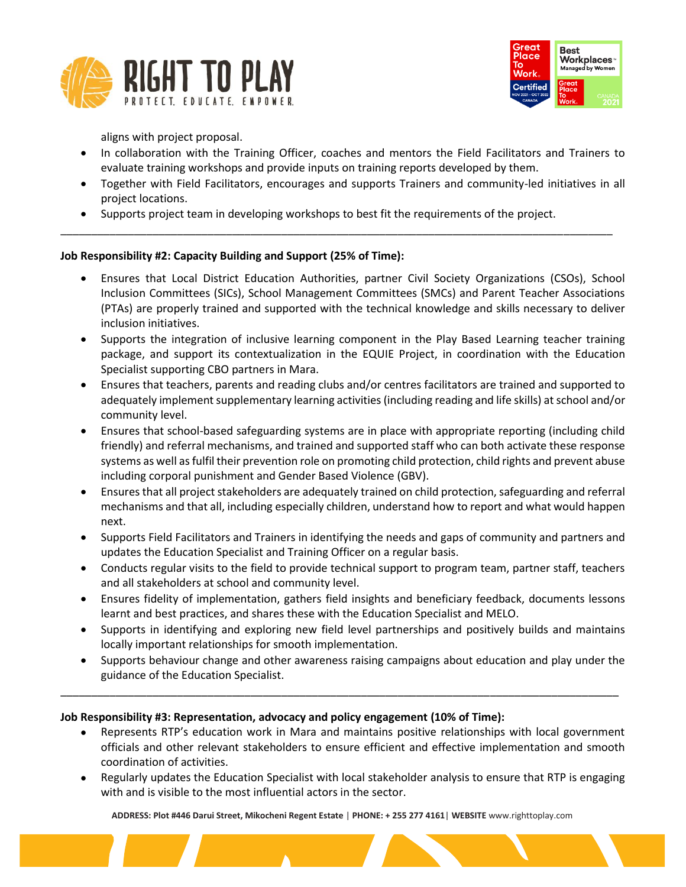



aligns with project proposal.

- In collaboration with the Training Officer, coaches and mentors the Field Facilitators and Trainers to evaluate training workshops and provide inputs on training reports developed by them.
- Together with Field Facilitators, encourages and supports Trainers and community-led initiatives in all project locations.
- Supports project team in developing workshops to best fit the requirements of the project.

\_\_\_\_\_\_\_\_\_\_\_\_\_\_\_\_\_\_\_\_\_\_\_\_\_\_\_\_\_\_\_\_\_\_\_\_\_\_\_\_\_\_\_\_\_\_\_\_\_\_\_\_\_\_\_\_\_\_\_\_\_\_\_\_\_\_\_\_\_\_\_\_\_\_\_\_\_\_\_\_\_\_\_\_\_\_\_\_\_\_

# **Job Responsibility #2: Capacity Building and Support (25% of Time):**

- Ensures that Local District Education Authorities, partner Civil Society Organizations (CSOs), School Inclusion Committees (SICs), School Management Committees (SMCs) and Parent Teacher Associations (PTAs) are properly trained and supported with the technical knowledge and skills necessary to deliver inclusion initiatives.
- Supports the integration of inclusive learning component in the Play Based Learning teacher training package, and support its contextualization in the EQUIE Project, in coordination with the Education Specialist supporting CBO partners in Mara.
- Ensures that teachers, parents and reading clubs and/or centres facilitators are trained and supported to adequately implement supplementary learning activities (including reading and life skills) at school and/or community level.
- Ensures that school-based safeguarding systems are in place with appropriate reporting (including child friendly) and referral mechanisms, and trained and supported staff who can both activate these response systems as well as fulfil their prevention role on promoting child protection, child rights and prevent abuse including corporal punishment and Gender Based Violence (GBV).
- Ensures that all project stakeholders are adequately trained on child protection, safeguarding and referral mechanisms and that all, including especially children, understand how to report and what would happen next.
- Supports Field Facilitators and Trainers in identifying the needs and gaps of community and partners and updates the Education Specialist and Training Officer on a regular basis.
- Conducts regular visits to the field to provide technical support to program team, partner staff, teachers and all stakeholders at school and community level.
- Ensures fidelity of implementation, gathers field insights and beneficiary feedback, documents lessons learnt and best practices, and shares these with the Education Specialist and MELO.
- Supports in identifying and exploring new field level partnerships and positively builds and maintains locally important relationships for smooth implementation.
- Supports behaviour change and other awareness raising campaigns about education and play under the guidance of the Education Specialist.

\_\_\_\_\_\_\_\_\_\_\_\_\_\_\_\_\_\_\_\_\_\_\_\_\_\_\_\_\_\_\_\_\_\_\_\_\_\_\_\_\_\_\_\_\_\_\_\_\_\_\_\_\_\_\_\_\_\_\_\_\_\_\_\_\_\_\_\_\_\_\_\_\_\_\_\_\_\_\_\_\_\_\_\_\_\_\_\_\_\_\_

# **Job Responsibility #3: Representation, advocacy and policy engagement (10% of Time):**

- Represents RTP's education work in Mara and maintains positive relationships with local government officials and other relevant stakeholders to ensure efficient and effective implementation and smooth coordination of activities.
- Regularly updates the Education Specialist with local stakeholder analysis to ensure that RTP is engaging with and is visible to the most influential actors in the sector.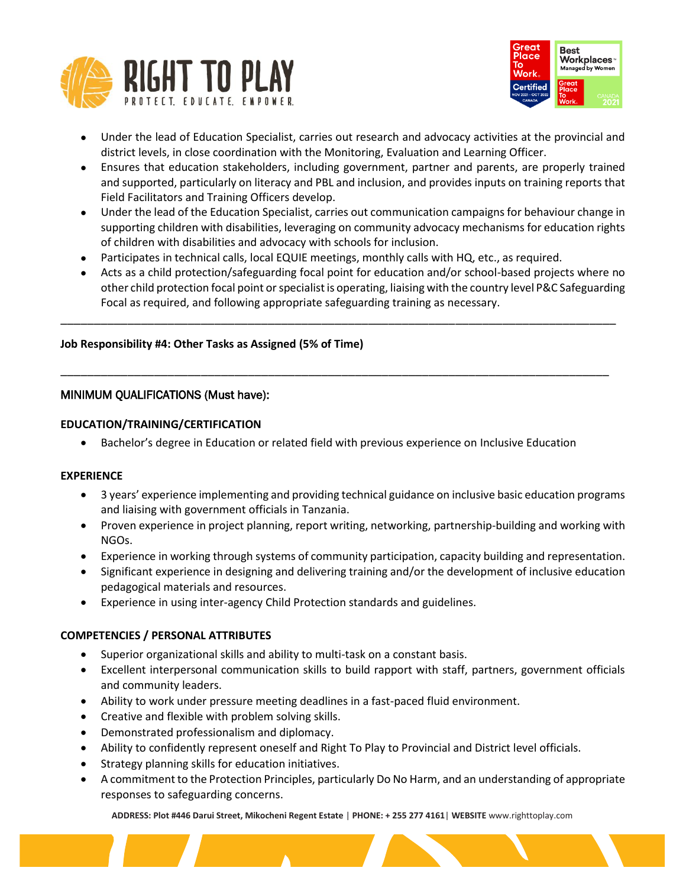



- Under the lead of Education Specialist, carries out research and advocacy activities at the provincial and district levels, in close coordination with the Monitoring, Evaluation and Learning Officer.
- Ensures that education stakeholders, including government, partner and parents, are properly trained and supported, particularly on literacy and PBL and inclusion, and provides inputs on training reports that Field Facilitators and Training Officers develop.
- Under the lead of the Education Specialist, carries out communication campaigns for behaviour change in supporting children with disabilities, leveraging on community advocacy mechanisms for education rights of children with disabilities and advocacy with schools for inclusion.
- Participates in technical calls, local EQUIE meetings, monthly calls with HQ, etc., as required.
- Acts as a child protection/safeguarding focal point for education and/or school-based projects where no other child protection focal point or specialist is operating, liaising with the country level P&C Safeguarding Focal as required, and following appropriate safeguarding training as necessary.

\_\_\_\_\_\_\_\_\_\_\_\_\_\_\_\_\_\_\_\_\_\_\_\_\_\_\_\_\_\_\_\_\_\_\_\_\_\_\_\_\_\_\_\_\_\_\_\_\_\_\_\_\_\_\_\_\_\_\_\_\_\_\_\_\_\_\_\_\_\_\_\_\_\_\_\_\_\_\_\_\_\_\_

\_\_\_\_\_\_\_\_\_\_\_\_\_\_\_\_\_\_\_\_\_\_\_\_\_\_\_\_\_\_\_\_\_\_\_\_\_\_\_\_\_\_\_\_\_\_\_\_\_\_\_\_\_\_\_\_\_\_\_\_\_\_\_\_\_\_\_\_\_\_\_\_\_\_\_\_\_\_\_\_\_\_

# **Job Responsibility #4: Other Tasks as Assigned (5% of Time)**

# MINIMUM QUALIFICATIONS (Must have):

# **EDUCATION/TRAINING/CERTIFICATION**

• Bachelor's degree in Education or related field with previous experience on Inclusive Education

#### **EXPERIENCE**

- 3 years' experience implementing and providing technical guidance on inclusive basic education programs and liaising with government officials in Tanzania.
- Proven experience in project planning, report writing, networking, partnership-building and working with NGOs.
- Experience in working through systems of community participation, capacity building and representation.
- Significant experience in designing and delivering training and/or the development of inclusive education pedagogical materials and resources.
- Experience in using inter-agency Child Protection standards and guidelines.

# **COMPETENCIES / PERSONAL ATTRIBUTES**

- Superior organizational skills and ability to multi-task on a constant basis.
- Excellent interpersonal communication skills to build rapport with staff, partners, government officials and community leaders.
- Ability to work under pressure meeting deadlines in a fast-paced fluid environment.
- Creative and flexible with problem solving skills.
- Demonstrated professionalism and diplomacy.
- Ability to confidently represent oneself and Right To Play to Provincial and District level officials.
- Strategy planning skills for education initiatives.
- A commitment to the Protection Principles, particularly Do No Harm, and an understanding of appropriate responses to safeguarding concerns.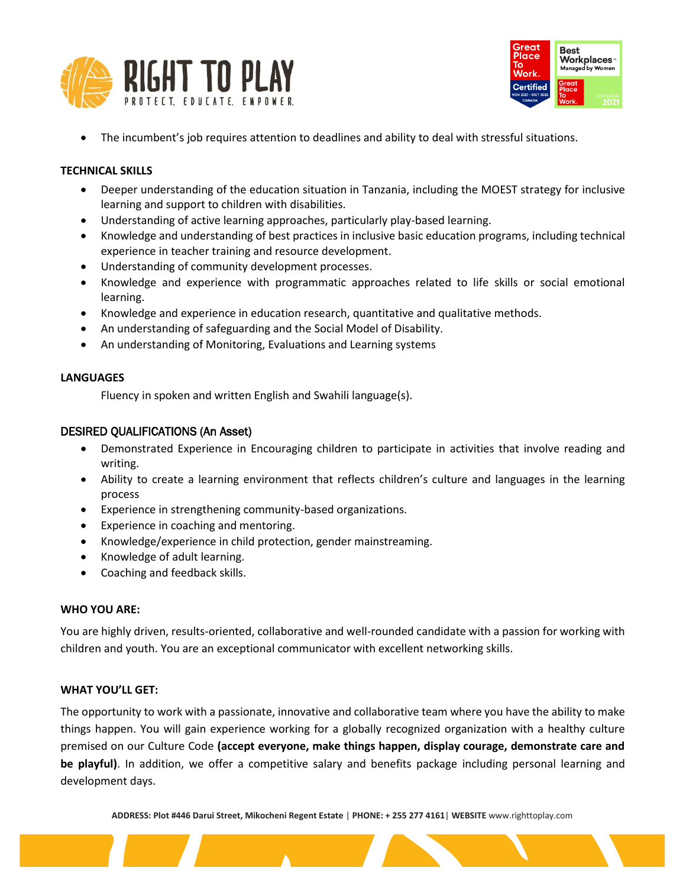



The incumbent's job requires attention to deadlines and ability to deal with stressful situations.

#### **TECHNICAL SKILLS**

- Deeper understanding of the education situation in Tanzania, including the MOEST strategy for inclusive learning and support to children with disabilities.
- Understanding of active learning approaches, particularly play-based learning.
- Knowledge and understanding of best practices in inclusive basic education programs, including technical experience in teacher training and resource development.
- Understanding of community development processes.
- Knowledge and experience with programmatic approaches related to life skills or social emotional learning.
- Knowledge and experience in education research, quantitative and qualitative methods.
- An understanding of safeguarding and the Social Model of Disability.
- An understanding of Monitoring, Evaluations and Learning systems

#### **LANGUAGES**

Fluency in spoken and written English and Swahili language(s).

# DESIRED QUALIFICATIONS (An Asset)

- Demonstrated Experience in Encouraging children to participate in activities that involve reading and writing.
- Ability to create a learning environment that reflects children's culture and languages in the learning process
- Experience in strengthening community-based organizations.
- Experience in coaching and mentoring.
- Knowledge/experience in child protection, gender mainstreaming.
- Knowledge of adult learning.
- Coaching and feedback skills.

# **WHO YOU ARE:**

You are highly driven, results-oriented, collaborative and well-rounded candidate with a passion for working with children and youth. You are an exceptional communicator with excellent networking skills.

# **WHAT YOU'LL GET:**

The opportunity to work with a passionate, innovative and collaborative team where you have the ability to make things happen. You will gain experience working for a globally recognized organization with a healthy culture premised on our Culture Code **(accept everyone, make things happen, display courage, demonstrate care and be playful)**. In addition, we offer a competitive salary and benefits package including personal learning and development days.